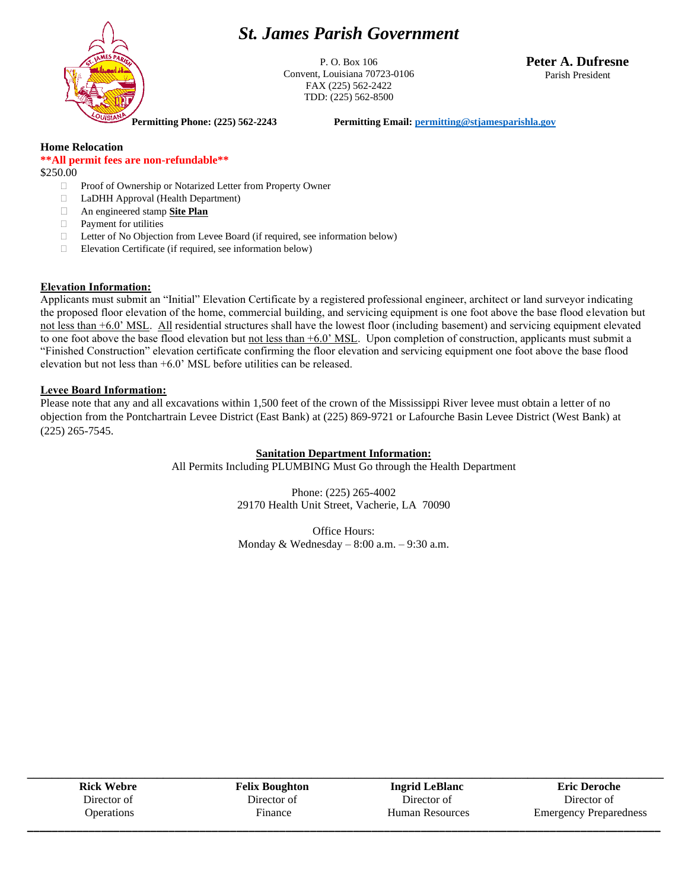## *St. James Parish Government*



P. O. Box 106 Convent, Louisiana 70723-0106 FAX (225) 562-2422 TDD: (225) 562-8500

**Peter A. Dufresne** Parish President

**Permitting Phone: (225) 562-2243 Permitting Email[: permitting@stjamesparishla.gov](mailto:permitting@stjamesparishla.gov)**

#### **Home Relocation**

#### **\*\*All permit fees are non-refundable\*\***

\$250.00

- Proof of Ownership or Notarized Letter from Property Owner
- LaDHH Approval (Health Department)
- An engineered stamp **Site Plan**
- **Payment for utilities**
- □ Letter of No Objection from Levee Board (if required, see information below)
- $\Box$  Elevation Certificate (if required, see information below)

#### **Elevation Information:**

Applicants must submit an "Initial" Elevation Certificate by a registered professional engineer, architect or land surveyor indicating the proposed floor elevation of the home, commercial building, and servicing equipment is one foot above the base flood elevation but not less than +6.0' MSL. All residential structures shall have the lowest floor (including basement) and servicing equipment elevated to one foot above the base flood elevation but not less than  $+6.0$ ' MSL. Upon completion of construction, applicants must submit a "Finished Construction" elevation certificate confirming the floor elevation and servicing equipment one foot above the base flood elevation but not less than +6.0' MSL before utilities can be released.

#### **Levee Board Information:**

Please note that any and all excavations within 1,500 feet of the crown of the Mississippi River levee must obtain a letter of no objection from the Pontchartrain Levee District (East Bank) at (225) 869-9721 or Lafourche Basin Levee District (West Bank) at (225) 265-7545.

#### **Sanitation Department Information:**

All Permits Including PLUMBING Must Go through the Health Department

Phone: (225) 265-4002 29170 Health Unit Street, Vacherie, LA 70090

Office Hours: Monday & Wednesday – 8:00 a.m. – 9:30 a.m.

| <b>Rick Webre</b> | <b>Felix Boughton</b> | <b>Ingrid LeBlanc</b>  | <b>Eric Deroche</b>           |
|-------------------|-----------------------|------------------------|-------------------------------|
| Director of       | Director of           | Director of            | Director of                   |
| <b>Operations</b> | Finance               | <b>Human Resources</b> | <b>Emergency Preparedness</b> |
|                   |                       |                        |                               |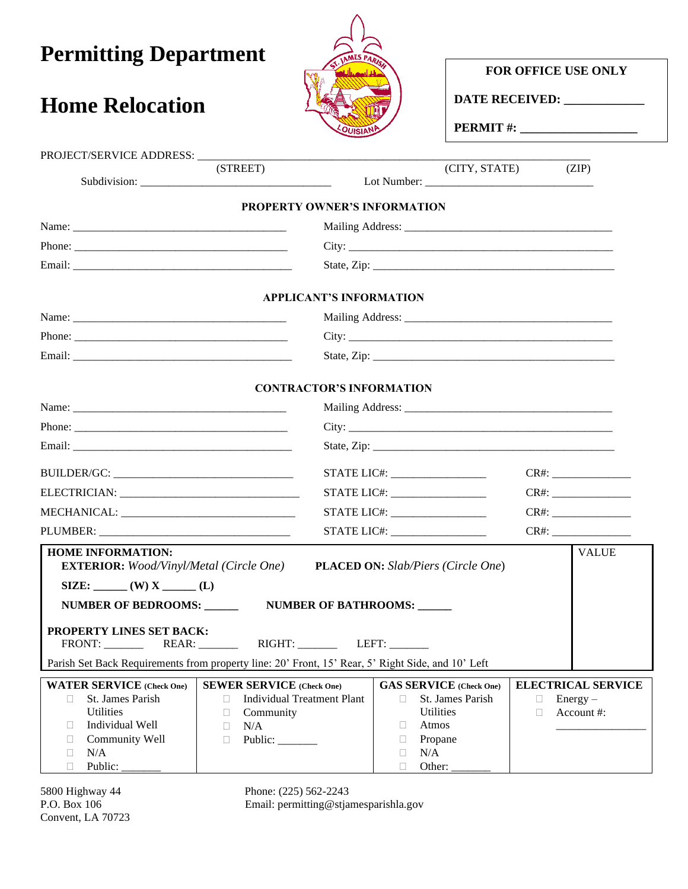| <b>Permitting Department</b><br>FOR OFFICE USE ONLY                                                                                                                                                                                                      |                                   |                                                                                                                                                     |                       |                                                    |  |  |
|----------------------------------------------------------------------------------------------------------------------------------------------------------------------------------------------------------------------------------------------------------|-----------------------------------|-----------------------------------------------------------------------------------------------------------------------------------------------------|-----------------------|----------------------------------------------------|--|--|
| <b>Home Relocation</b>                                                                                                                                                                                                                                   |                                   |                                                                                                                                                     | DATE RECEIVED:        |                                                    |  |  |
|                                                                                                                                                                                                                                                          |                                   |                                                                                                                                                     |                       |                                                    |  |  |
| PROJECT/SERVICE ADDRESS: ____                                                                                                                                                                                                                            |                                   |                                                                                                                                                     |                       |                                                    |  |  |
| (STREET)                                                                                                                                                                                                                                                 |                                   | (CITY, STATE)                                                                                                                                       |                       | (ZIP)                                              |  |  |
|                                                                                                                                                                                                                                                          | PROPERTY OWNER'S INFORMATION      |                                                                                                                                                     |                       |                                                    |  |  |
|                                                                                                                                                                                                                                                          |                                   |                                                                                                                                                     |                       |                                                    |  |  |
|                                                                                                                                                                                                                                                          |                                   |                                                                                                                                                     |                       |                                                    |  |  |
|                                                                                                                                                                                                                                                          |                                   |                                                                                                                                                     |                       |                                                    |  |  |
|                                                                                                                                                                                                                                                          | <b>APPLICANT'S INFORMATION</b>    |                                                                                                                                                     |                       |                                                    |  |  |
|                                                                                                                                                                                                                                                          |                                   |                                                                                                                                                     |                       |                                                    |  |  |
|                                                                                                                                                                                                                                                          |                                   |                                                                                                                                                     |                       |                                                    |  |  |
|                                                                                                                                                                                                                                                          |                                   |                                                                                                                                                     |                       |                                                    |  |  |
|                                                                                                                                                                                                                                                          |                                   |                                                                                                                                                     |                       |                                                    |  |  |
|                                                                                                                                                                                                                                                          | <b>CONTRACTOR'S INFORMATION</b>   |                                                                                                                                                     |                       |                                                    |  |  |
|                                                                                                                                                                                                                                                          |                                   |                                                                                                                                                     |                       |                                                    |  |  |
|                                                                                                                                                                                                                                                          |                                   |                                                                                                                                                     |                       |                                                    |  |  |
|                                                                                                                                                                                                                                                          |                                   |                                                                                                                                                     |                       |                                                    |  |  |
|                                                                                                                                                                                                                                                          | STATE LIC#: ___________________   |                                                                                                                                                     | CR#: ________________ |                                                    |  |  |
|                                                                                                                                                                                                                                                          | STATE LIC#: _________________     |                                                                                                                                                     |                       |                                                    |  |  |
| MECHANICAL: _________                                                                                                                                                                                                                                    |                                   |                                                                                                                                                     | $CR#$ :               |                                                    |  |  |
|                                                                                                                                                                                                                                                          | STATE LIC#: ___________________   |                                                                                                                                                     |                       |                                                    |  |  |
| <b>HOME INFORMATION:</b>                                                                                                                                                                                                                                 |                                   |                                                                                                                                                     |                       | <b>VALUE</b>                                       |  |  |
| <b>EXTERIOR:</b> Wood/Vinyl/Metal (Circle One) PLACED ON: Slab/Piers (Circle One)<br>SIZE: ______ (W) X _____ (L)                                                                                                                                        |                                   |                                                                                                                                                     |                       |                                                    |  |  |
| NUMBER OF BEDROOMS: _____                                                                                                                                                                                                                                |                                   |                                                                                                                                                     |                       |                                                    |  |  |
| NUMBER OF BATHROOMS:                                                                                                                                                                                                                                     |                                   |                                                                                                                                                     |                       |                                                    |  |  |
| <b>PROPERTY LINES SET BACK:</b><br>FRONT:                                                                                                                                                                                                                |                                   |                                                                                                                                                     |                       |                                                    |  |  |
| Parish Set Back Requirements from property line: 20' Front, 15' Rear, 5' Right Side, and 10' Left                                                                                                                                                        |                                   |                                                                                                                                                     |                       |                                                    |  |  |
| <b>SEWER SERVICE</b> (Check One)<br><b>WATER SERVICE</b> (Check One)<br>St. James Parish<br>П<br>$\Box$<br>Utilities<br>Community<br>$\Box$<br>Individual Well<br>N/A<br>П<br>П.<br>Community Well<br>□<br>$\Box$<br>Public:<br>N/A<br>□<br>Public:<br>0 | <b>Individual Treatment Plant</b> | <b>GAS SERVICE</b> (Check One)<br>St. James Parish<br>$\Box$<br><b>Utilities</b><br>Atmos<br>П<br>$\Box$<br>Propane<br>N/A<br>П<br>Other:<br>$\Box$ | $\Box$<br>$\Box$      | <b>ELECTRICAL SERVICE</b><br>Energy-<br>Account #: |  |  |

5800 Highway 44<br>P.O. Box 106<br>Convent, LA 70723

5800 Highway 44 Phone: (225) 562-2243 P.O. Box 106 Email: permitting@stjamesparishla.gov